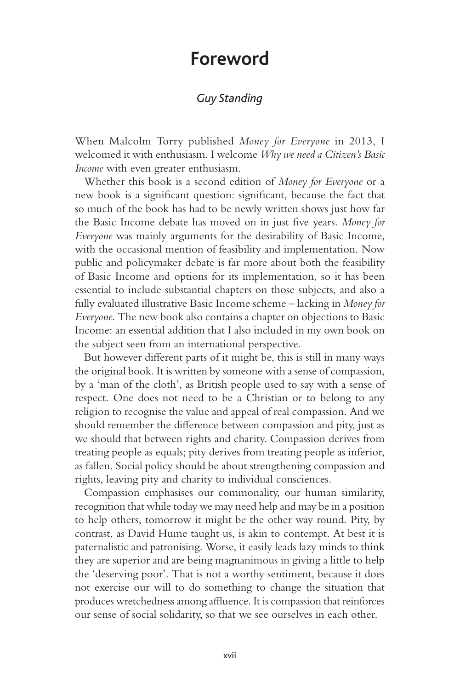## **Foreword**

### *Guy Standing*

When Malcolm Torry published *Money for Everyone* in 2013, I welcomed it with enthusiasm. I welcome *Why we need a Citizen's Basic Income* with even greater enthusiasm.

Whether this book is a second edition of *Money for Everyone* or a new book is a significant question: significant, because the fact that so much of the book has had to be newly written shows just how far the Basic Income debate has moved on in just five years. *Money for Everyone* was mainly arguments for the desirability of Basic Income, with the occasional mention of feasibility and implementation. Now public and policymaker debate is far more about both the feasibility of Basic Income and options for its implementation, so it has been essential to include substantial chapters on those subjects, and also a fully evaluated illustrative Basic Income scheme – lacking in *Money for Everyone*. The new book also contains a chapter on objections to Basic Income: an essential addition that I also included in my own book on the subject seen from an international perspective.

But however different parts of it might be, this is still in many ways the original book. It is written by someone with a sense of compassion, by a 'man of the cloth', as British people used to say with a sense of respect. One does not need to be a Christian or to belong to any religion to recognise the value and appeal of real compassion. And we should remember the difference between compassion and pity, just as we should that between rights and charity. Compassion derives from treating people as equals; pity derives from treating people as inferior, as fallen. Social policy should be about strengthening compassion and rights, leaving pity and charity to individual consciences.

Compassion emphasises our commonality, our human similarity, recognition that while today we may need help and may be in a position to help others, tomorrow it might be the other way round. Pity, by contrast, as David Hume taught us, is akin to contempt. At best it is paternalistic and patronising. Worse, it easily leads lazy minds to think they are superior and are being magnanimous in giving a little to help the 'deserving poor'. That is not a worthy sentiment, because it does not exercise our will to do something to change the situation that produces wretchedness among affluence. It is compassion that reinforces our sense of social solidarity, so that we see ourselves in each other.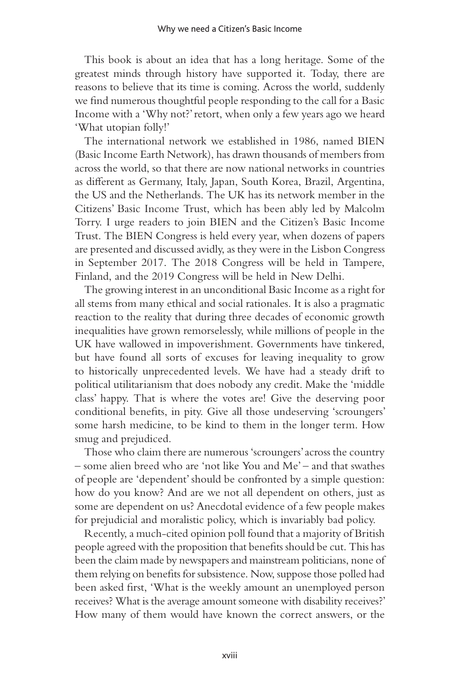This book is about an idea that has a long heritage. Some of the greatest minds through history have supported it. Today, there are reasons to believe that its time is coming. Across the world, suddenly we find numerous thoughtful people responding to the call for a Basic Income with a 'Why not?' retort, when only a few years ago we heard 'What utopian folly!'

The international network we established in 1986, named BIEN (Basic Income Earth Network), has drawn thousands of members from across the world, so that there are now national networks in countries as different as Germany, Italy, Japan, South Korea, Brazil, Argentina, the US and the Netherlands. The UK has its network member in the Citizens' Basic Income Trust, which has been ably led by Malcolm Torry. I urge readers to join BIEN and the Citizen's Basic Income Trust. The BIEN Congress is held every year, when dozens of papers are presented and discussed avidly, as they were in the Lisbon Congress in September 2017. The 2018 Congress will be held in Tampere, Finland, and the 2019 Congress will be held in New Delhi.

The growing interest in an unconditional Basic Income as a right for all stems from many ethical and social rationales. It is also a pragmatic reaction to the reality that during three decades of economic growth inequalities have grown remorselessly, while millions of people in the UK have wallowed in impoverishment. Governments have tinkered, but have found all sorts of excuses for leaving inequality to grow to historically unprecedented levels. We have had a steady drift to political utilitarianism that does nobody any credit. Make the 'middle class' happy. That is where the votes are! Give the deserving poor conditional benefits, in pity. Give all those undeserving 'scroungers' some harsh medicine, to be kind to them in the longer term. How smug and prejudiced.

Those who claim there are numerous 'scroungers' across the country – some alien breed who are 'not like You and Me' – and that swathes of people are 'dependent' should be confronted by a simple question: how do you know? And are we not all dependent on others, just as some are dependent on us? Anecdotal evidence of a few people makes for prejudicial and moralistic policy, which is invariably bad policy.

Recently, a much-cited opinion poll found that a majority of British people agreed with the proposition that benefits should be cut. This has been the claim made by newspapers and mainstream politicians, none of them relying on benefits for subsistence. Now, suppose those polled had been asked first, 'What is the weekly amount an unemployed person receives? What is the average amount someone with disability receives?' How many of them would have known the correct answers, or the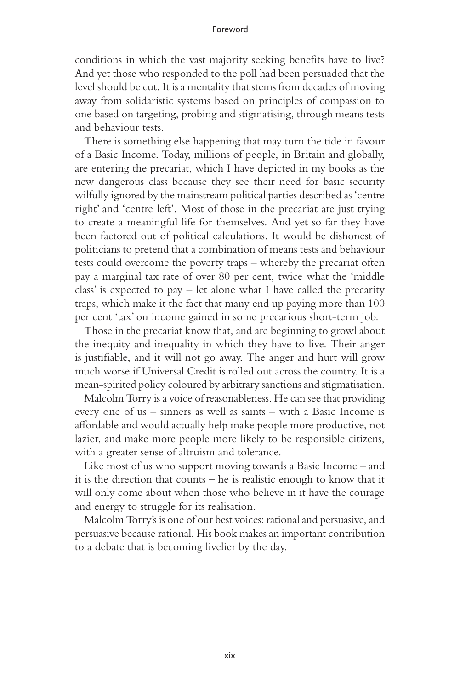#### Foreword

conditions in which the vast majority seeking benefits have to live? And yet those who responded to the poll had been persuaded that the level should be cut. It is a mentality that stems from decades of moving away from solidaristic systems based on principles of compassion to one based on targeting, probing and stigmatising, through means tests and behaviour tests.

There is something else happening that may turn the tide in favour of a Basic Income. Today, millions of people, in Britain and globally, are entering the precariat, which I have depicted in my books as the new dangerous class because they see their need for basic security wilfully ignored by the mainstream political parties described as 'centre right' and 'centre left'. Most of those in the precariat are just trying to create a meaningful life for themselves. And yet so far they have been factored out of political calculations. It would be dishonest of politicians to pretend that a combination of means tests and behaviour tests could overcome the poverty traps – whereby the precariat often pay a marginal tax rate of over 80 per cent, twice what the 'middle class' is expected to  $pay - let$  alone what I have called the precarity traps, which make it the fact that many end up paying more than 100 per cent 'tax' on income gained in some precarious short-term job.

Those in the precariat know that, and are beginning to growl about the inequity and inequality in which they have to live. Their anger is justifiable, and it will not go away. The anger and hurt will grow much worse if Universal Credit is rolled out across the country. It is a mean-spirited policy coloured by arbitrary sanctions and stigmatisation.

Malcolm Torry is a voice of reasonableness. He can see that providing every one of us – sinners as well as saints – with a Basic Income is affordable and would actually help make people more productive, not lazier, and make more people more likely to be responsible citizens, with a greater sense of altruism and tolerance.

Like most of us who support moving towards a Basic Income – and it is the direction that counts – he is realistic enough to know that it will only come about when those who believe in it have the courage and energy to struggle for its realisation.

Malcolm Torry's is one of our best voices: rational and persuasive, and persuasive because rational. His book makes an important contribution to a debate that is becoming livelier by the day.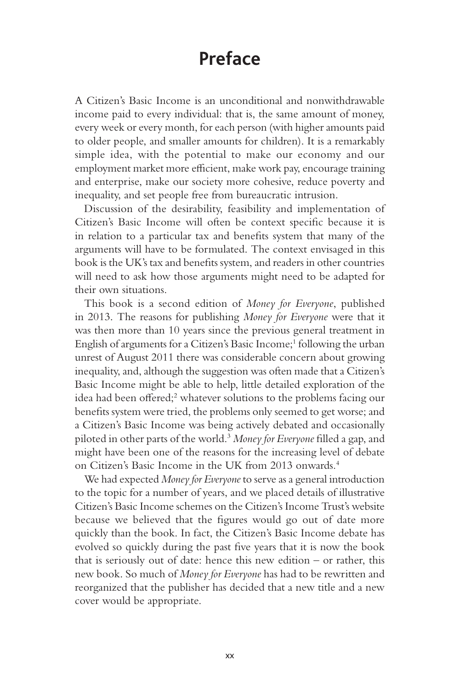# **Preface**

A Citizen's Basic Income is an unconditional and nonwithdrawable income paid to every individual: that is, the same amount of money, every week or every month, for each person (with higher amounts paid to older people, and smaller amounts for children). It is a remarkably simple idea, with the potential to make our economy and our employment market more efficient, make work pay, encourage training and enterprise, make our society more cohesive, reduce poverty and inequality, and set people free from bureaucratic intrusion.

Discussion of the desirability, feasibility and implementation of Citizen's Basic Income will often be context specific because it is in relation to a particular tax and benefits system that many of the arguments will have to be formulated. The context envisaged in this book is the UK's tax and benefits system, and readers in other countries will need to ask how those arguments might need to be adapted for their own situations.

This book is a second edition of *Money for Everyone*, published in 2013. The reasons for publishing *Money for Everyone* were that it was then more than 10 years since the previous general treatment in English of arguments for a Citizen's Basic Income;<sup>1</sup> following the urban unrest of August 2011 there was considerable concern about growing inequality, and, although the suggestion was often made that a Citizen's Basic Income might be able to help, little detailed exploration of the idea had been offered;<sup>2</sup> whatever solutions to the problems facing our benefits system were tried, the problems only seemed to get worse; and a Citizen's Basic Income was being actively debated and occasionally piloted in other parts of the world.3 *Money for Everyone* filled a gap, and might have been one of the reasons for the increasing level of debate on Citizen's Basic Income in the UK from 2013 onwards.4

We had expected *Money for Everyone* to serve as a general introduction to the topic for a number of years, and we placed details of illustrative Citizen's Basic Income schemes on the Citizen's Income Trust's website because we believed that the figures would go out of date more quickly than the book. In fact, the Citizen's Basic Income debate has evolved so quickly during the past five years that it is now the book that is seriously out of date: hence this new edition – or rather, this new book. So much of *Money for Everyone* has had to be rewritten and reorganized that the publisher has decided that a new title and a new cover would be appropriate.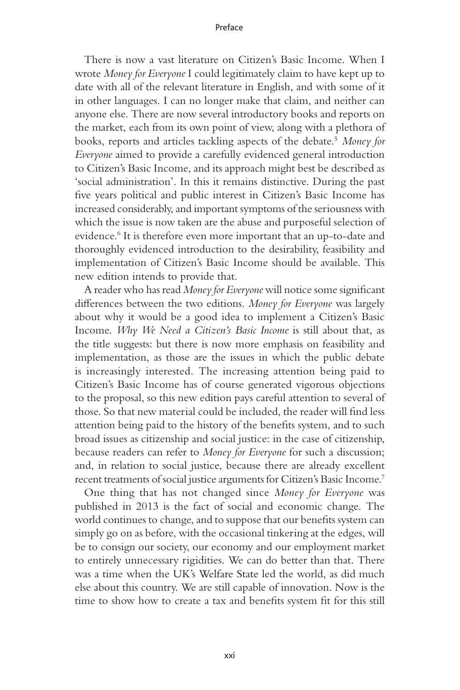There is now a vast literature on Citizen's Basic Income. When I wrote *Money for Everyone* I could legitimately claim to have kept up to date with all of the relevant literature in English, and with some of it in other languages. I can no longer make that claim, and neither can anyone else. There are now several introductory books and reports on the market, each from its own point of view, along with a plethora of books, reports and articles tackling aspects of the debate.5 *Money for Everyone* aimed to provide a carefully evidenced general introduction to Citizen's Basic Income, and its approach might best be described as 'social administration'. In this it remains distinctive. During the past five years political and public interest in Citizen's Basic Income has increased considerably, and important symptoms of the seriousness with which the issue is now taken are the abuse and purposeful selection of evidence.<sup>6</sup> It is therefore even more important that an up-to-date and thoroughly evidenced introduction to the desirability, feasibility and implementation of Citizen's Basic Income should be available. This new edition intends to provide that.

A reader who has read *Money for Everyone* will notice some significant differences between the two editions. *Money for Everyone* was largely about why it would be a good idea to implement a Citizen's Basic Income. *Why We Need a Citizen's Basic Income* is still about that, as the title suggests: but there is now more emphasis on feasibility and implementation, as those are the issues in which the public debate is increasingly interested. The increasing attention being paid to Citizen's Basic Income has of course generated vigorous objections to the proposal, so this new edition pays careful attention to several of those. So that new material could be included, the reader will find less attention being paid to the history of the benefits system, and to such broad issues as citizenship and social justice: in the case of citizenship, because readers can refer to *Money for Everyone* for such a discussion; and, in relation to social justice, because there are already excellent recent treatments of social justice arguments for Citizen's Basic Income.7

One thing that has not changed since *Money for Everyone* was published in 2013 is the fact of social and economic change. The world continues to change, and to suppose that our benefits system can simply go on as before, with the occasional tinkering at the edges, will be to consign our society, our economy and our employment market to entirely unnecessary rigidities. We can do better than that. There was a time when the UK's Welfare State led the world, as did much else about this country. We are still capable of innovation. Now is the time to show how to create a tax and benefits system fit for this still